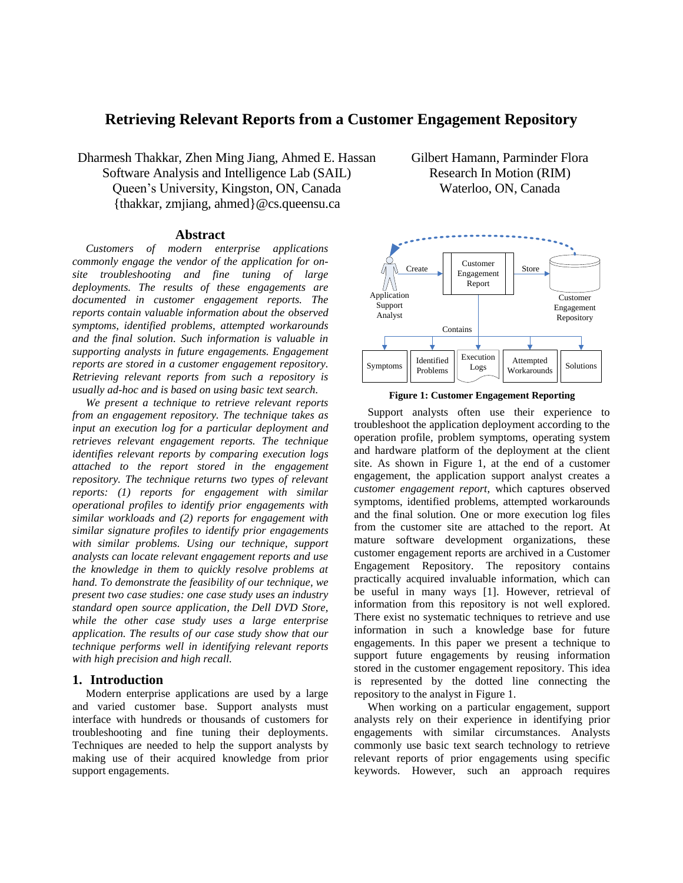# **Retrieving Relevant Reports from a Customer Engagement Repository**

Dharmesh Thakkar, Zhen Ming Jiang, Ahmed E. Hassan Software Analysis and Intelligence Lab (SAIL) Queen's University, Kingston, ON, Canada {thakkar, zmjiang, ahmed}@cs.queensu.ca

# **Abstract**

*Customers of modern enterprise applications commonly engage the vendor of the application for onsite troubleshooting and fine tuning of large deployments. The results of these engagements are documented in customer engagement reports. The reports contain valuable information about the observed symptoms, identified problems, attempted workarounds and the final solution. Such information is valuable in supporting analysts in future engagements. Engagement reports are stored in a customer engagement repository. Retrieving relevant reports from such a repository is usually ad-hoc and is based on using basic text search.*

*We present a technique to retrieve relevant reports from an engagement repository. The technique takes as input an execution log for a particular deployment and retrieves relevant engagement reports. The technique identifies relevant reports by comparing execution logs attached to the report stored in the engagement repository. The technique returns two types of relevant reports: (1) reports for engagement with similar operational profiles to identify prior engagements with similar workloads and (2) reports for engagement with similar signature profiles to identify prior engagements with similar problems. Using our technique, support analysts can locate relevant engagement reports and use the knowledge in them to quickly resolve problems at hand. To demonstrate the feasibility of our technique, we present two case studies: one case study uses an industry standard open source application, the Dell DVD Store, while the other case study uses a large enterprise application. The results of our case study show that our technique performs well in identifying relevant reports with high precision and high recall.*

# **1. Introduction**

Modern enterprise applications are used by a large and varied customer base. Support analysts must interface with hundreds or thousands of customers for troubleshooting and fine tuning their deployments. Techniques are needed to help the support analysts by making use of their acquired knowledge from prior support engagements.

Gilbert Hamann, Parminder Flora Research In Motion (RIM) Waterloo, ON, Canada



**Figure 1: Customer Engagement Reporting**

Support analysts often use their experience to troubleshoot the application deployment according to the operation profile, problem symptoms, operating system and hardware platform of the deployment at the client site. As shown in Figure 1, at the end of a customer engagement, the application support analyst creates a *customer engagement report*, which captures observed symptoms, identified problems, attempted workarounds and the final solution. One or more execution log files from the customer site are attached to the report. At mature software development organizations, these customer engagement reports are archived in a Customer Engagement Repository. The repository contains practically acquired invaluable information, which can be useful in many ways [1]. However, retrieval of information from this repository is not well explored. There exist no systematic techniques to retrieve and use information in such a knowledge base for future engagements. In this paper we present a technique to support future engagements by reusing information stored in the customer engagement repository. This idea is represented by the dotted line connecting the repository to the analyst in Figure 1.

When working on a particular engagement, support analysts rely on their experience in identifying prior engagements with similar circumstances. Analysts commonly use basic text search technology to retrieve relevant reports of prior engagements using specific keywords. However, such an approach requires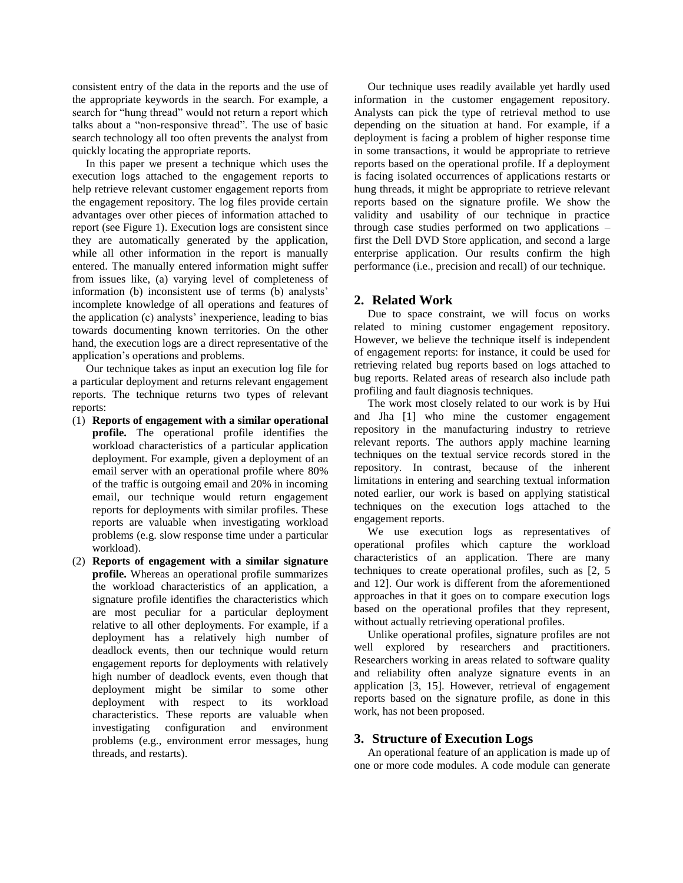consistent entry of the data in the reports and the use of the appropriate keywords in the search. For example, a search for "hung thread" would not return a report which talks about a "non-responsive thread". The use of basic search technology all too often prevents the analyst from quickly locating the appropriate reports.

In this paper we present a technique which uses the execution logs attached to the engagement reports to help retrieve relevant customer engagement reports from the engagement repository. The log files provide certain advantages over other pieces of information attached to report (see Figure 1). Execution logs are consistent since they are automatically generated by the application, while all other information in the report is manually entered. The manually entered information might suffer from issues like, (a) varying level of completeness of information (b) inconsistent use of terms (b) analysts' incomplete knowledge of all operations and features of the application (c) analysts' inexperience, leading to bias towards documenting known territories. On the other hand, the execution logs are a direct representative of the application's operations and problems.

Our technique takes as input an execution log file for a particular deployment and returns relevant engagement reports. The technique returns two types of relevant reports:

- (1) **Reports of engagement with a similar operational profile.** The operational profile identifies the workload characteristics of a particular application deployment. For example, given a deployment of an email server with an operational profile where 80% of the traffic is outgoing email and 20% in incoming email, our technique would return engagement reports for deployments with similar profiles. These reports are valuable when investigating workload problems (e.g. slow response time under a particular workload).
- (2) **Reports of engagement with a similar signature profile.** Whereas an operational profile summarizes the workload characteristics of an application, a signature profile identifies the characteristics which are most peculiar for a particular deployment relative to all other deployments. For example, if a deployment has a relatively high number of deadlock events, then our technique would return engagement reports for deployments with relatively high number of deadlock events, even though that deployment might be similar to some other deployment with respect to its workload characteristics. These reports are valuable when investigating configuration and environment problems (e.g., environment error messages, hung threads, and restarts).

Our technique uses readily available yet hardly used information in the customer engagement repository. Analysts can pick the type of retrieval method to use depending on the situation at hand. For example, if a deployment is facing a problem of higher response time in some transactions, it would be appropriate to retrieve reports based on the operational profile. If a deployment is facing isolated occurrences of applications restarts or hung threads, it might be appropriate to retrieve relevant reports based on the signature profile. We show the validity and usability of our technique in practice through case studies performed on two applications – first the Dell DVD Store application, and second a large enterprise application. Our results confirm the high performance (i.e., precision and recall) of our technique.

# **2. Related Work**

Due to space constraint, we will focus on works related to mining customer engagement repository. However, we believe the technique itself is independent of engagement reports: for instance, it could be used for retrieving related bug reports based on logs attached to bug reports. Related areas of research also include path profiling and fault diagnosis techniques.

The work most closely related to our work is by Hui and Jha [1] who mine the customer engagement repository in the manufacturing industry to retrieve relevant reports. The authors apply machine learning techniques on the textual service records stored in the repository. In contrast, because of the inherent limitations in entering and searching textual information noted earlier, our work is based on applying statistical techniques on the execution logs attached to the engagement reports.

We use execution logs as representatives of operational profiles which capture the workload characteristics of an application. There are many techniques to create operational profiles, such as [2, 5 and 12]. Our work is different from the aforementioned approaches in that it goes on to compare execution logs based on the operational profiles that they represent, without actually retrieving operational profiles.

Unlike operational profiles, signature profiles are not well explored by researchers and practitioners. Researchers working in areas related to software quality and reliability often analyze signature events in an application [3, 15]. However, retrieval of engagement reports based on the signature profile, as done in this work, has not been proposed.

# **3. Structure of Execution Logs**

An operational feature of an application is made up of one or more code modules. A code module can generate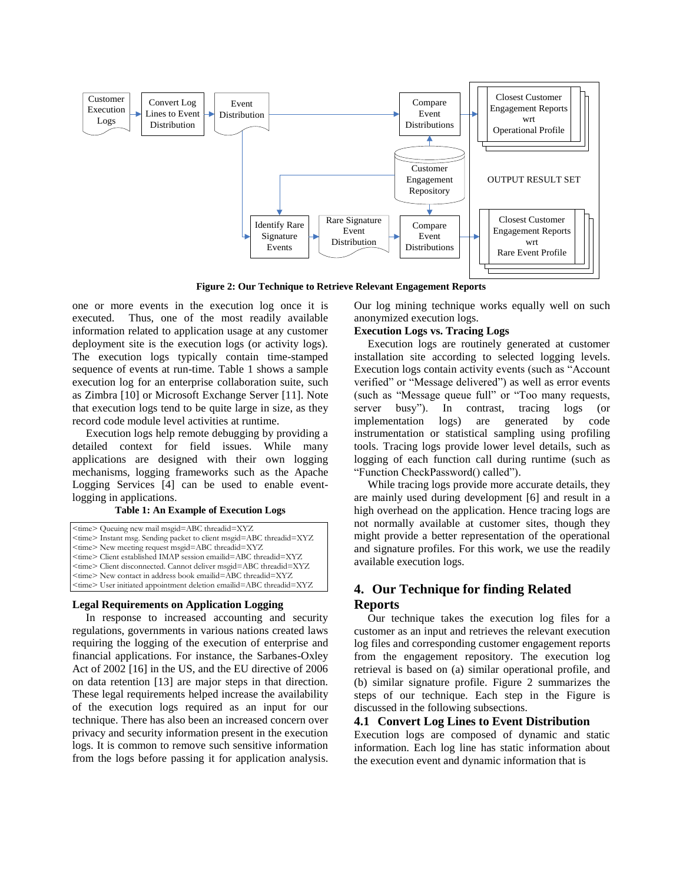

**Figure 2: Our Technique to Retrieve Relevant Engagement Reports**

one or more events in the execution log once it is executed. Thus, one of the most readily available information related to application usage at any customer deployment site is the execution logs (or activity logs). The execution logs typically contain time-stamped sequence of events at run-time. Table 1 shows a sample execution log for an enterprise collaboration suite, such as Zimbra [10] or Microsoft Exchange Server [11]. Note that execution logs tend to be quite large in size, as they record code module level activities at runtime.

Execution logs help remote debugging by providing a detailed context for field issues. While many applications are designed with their own logging mechanisms, logging frameworks such as the Apache Logging Services [4] can be used to enable eventlogging in applications.

## **Table 1: An Example of Execution Logs**

```
<time> Queuing new mail msgid=ABC threadid=XYZ
<time> Instant msg. Sending packet to client msgid=ABC threadid=XYZ
<time> New meeting request msgid=ABC threadid=XYZ
<time> Client established IMAP session emailid=ABC threadid=XYZ
<time> Client disconnected. Cannot deliver msgid=ABC threadid=XYZ
<time> New contact in address book emailid=ABC threadid=XYZ
<time> User initiated appointment deletion emailid=ABC threadid=XYZ
```
#### **Legal Requirements on Application Logging**

In response to increased accounting and security regulations, governments in various nations created laws requiring the logging of the execution of enterprise and financial applications. For instance, the Sarbanes-Oxley Act of 2002 [16] in the US, and the EU directive of 2006 on data retention [13] are major steps in that direction. These legal requirements helped increase the availability of the execution logs required as an input for our technique. There has also been an increased concern over privacy and security information present in the execution logs. It is common to remove such sensitive information from the logs before passing it for application analysis.

Our log mining technique works equally well on such anonymized execution logs.

## **Execution Logs vs. Tracing Logs**

Execution logs are routinely generated at customer installation site according to selected logging levels. Execution logs contain activity events (such as "Account verified" or "Message delivered") as well as error events (such as "Message queue full" or "Too many requests, server busy"). In contrast, tracing logs (or implementation logs) are generated by code instrumentation or statistical sampling using profiling tools. Tracing logs provide lower level details, such as logging of each function call during runtime (such as "Function CheckPassword() called").

While tracing logs provide more accurate details, they are mainly used during development [6] and result in a high overhead on the application. Hence tracing logs are not normally available at customer sites, though they might provide a better representation of the operational and signature profiles. For this work, we use the readily available execution logs.

# **4. Our Technique for finding Related Reports**

Our technique takes the execution log files for a customer as an input and retrieves the relevant execution log files and corresponding customer engagement reports from the engagement repository. The execution log retrieval is based on (a) similar operational profile, and (b) similar signature profile. Figure 2 summarizes the steps of our technique. Each step in the Figure is discussed in the following subsections.

#### **4.1 Convert Log Lines to Event Distribution**

Execution logs are composed of dynamic and static information. Each log line has static information about the execution event and dynamic information that is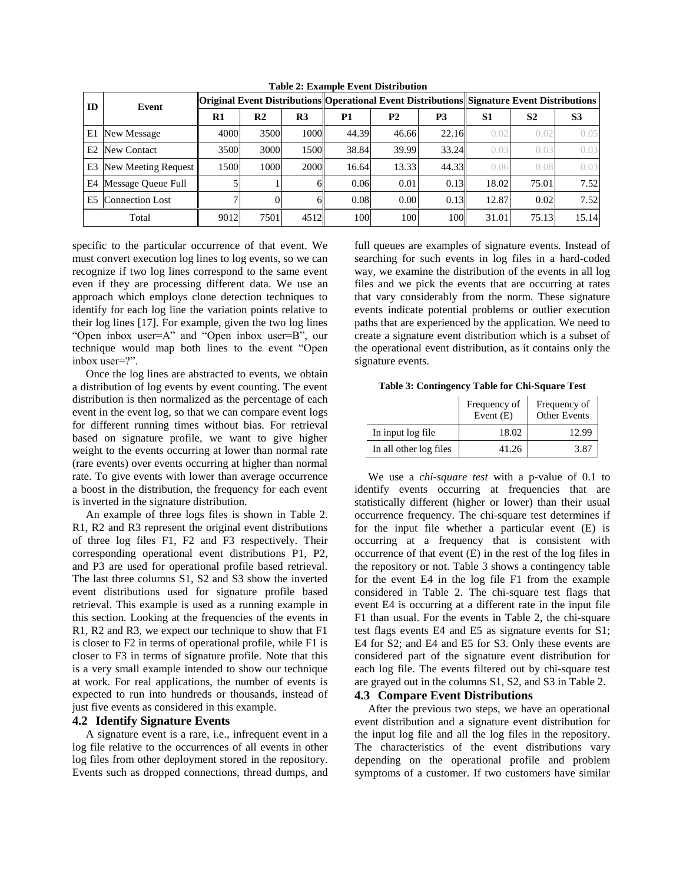| ID    | Event                      |               |                |                | <b>Original Event Distributions Operational Event Distributions Signature Event Distributions</b> |           |                |                |                |                |
|-------|----------------------------|---------------|----------------|----------------|---------------------------------------------------------------------------------------------------|-----------|----------------|----------------|----------------|----------------|
|       |                            | $\mathbf{R}1$ | R <sub>2</sub> | R <sub>3</sub> | P <sub>1</sub>                                                                                    | <b>P2</b> | P <sub>3</sub> | S <sub>1</sub> | S <sub>2</sub> | S <sub>3</sub> |
| E1    | New Message                | 4000          | 3500           | 1000           | 44.39                                                                                             | 46.66     | 22.16          | 0.02           | 0.02           | 0.05           |
|       | E <sub>2</sub> New Contact | 3500          | 3000           | 1500           | 38.84                                                                                             | 39.99     | 33.24          | 0.03           | 0.03           | 0.03           |
|       | E3 New Meeting Request     | 1500          | 1000           | 2000           | 16.64                                                                                             | 13.33     | 44.33          | 0.06           | 0.08           | 0.03           |
| E4    | Message Queue Full         |               |                | 61             | 0.06                                                                                              | 0.01      | 0.13           | 18.02          | 75.01          | 7.52           |
|       | <b>E5</b> Connection Lost  |               | 0              | 61             | 0.08                                                                                              | 0.00      | 0.13           | 12.87          | 0.02           | 7.52           |
| Total |                            | 9012          | 7501           | 4512           | 100                                                                                               | 100       | 100l           | 31.01          | 75.13          | 15.14          |

**Table 2: Example Event Distribution**

specific to the particular occurrence of that event. We must convert execution log lines to log events, so we can recognize if two log lines correspond to the same event even if they are processing different data. We use an approach which employs clone detection techniques to identify for each log line the variation points relative to their log lines [17]. For example, given the two log lines "Open inbox user=A" and "Open inbox user=B", our technique would map both lines to the event "Open inbox user=?".

Once the log lines are abstracted to events, we obtain a distribution of log events by event counting. The event distribution is then normalized as the percentage of each event in the event log, so that we can compare event logs for different running times without bias. For retrieval based on signature profile, we want to give higher weight to the events occurring at lower than normal rate (rare events) over events occurring at higher than normal rate. To give events with lower than average occurrence a boost in the distribution, the frequency for each event is inverted in the signature distribution.

An example of three logs files is shown in Table 2. R1, R2 and R3 represent the original event distributions of three log files F1, F2 and F3 respectively. Their corresponding operational event distributions P1, P2, and P3 are used for operational profile based retrieval. The last three columns S1, S2 and S3 show the inverted event distributions used for signature profile based retrieval. This example is used as a running example in this section. Looking at the frequencies of the events in R1, R2 and R3, we expect our technique to show that F1 is closer to F2 in terms of operational profile, while F1 is closer to F3 in terms of signature profile. Note that this is a very small example intended to show our technique at work. For real applications, the number of events is expected to run into hundreds or thousands, instead of just five events as considered in this example.

#### **4.2 Identify Signature Events**

A signature event is a rare, i.e., infrequent event in a log file relative to the occurrences of all events in other log files from other deployment stored in the repository. Events such as dropped connections, thread dumps, and

full queues are examples of signature events. Instead of searching for such events in log files in a hard-coded way, we examine the distribution of the events in all log files and we pick the events that are occurring at rates that vary considerably from the norm. These signature events indicate potential problems or outlier execution paths that are experienced by the application. We need to create a signature event distribution which is a subset of the operational event distribution, as it contains only the signature events.

**Table 3: Contingency Table for Chi-Square Test**

|                        | Frequency of<br>Event $(E)$ | Frequency of<br>Other Events |
|------------------------|-----------------------------|------------------------------|
| In input log file      | 18.02                       | 12.99                        |
| In all other log files | 41.26                       | 3.87                         |

We use a *chi-square test* with a p-value of 0.1 to identify events occurring at frequencies that are statistically different (higher or lower) than their usual occurrence frequency. The chi-square test determines if for the input file whether a particular event (E) is occurring at a frequency that is consistent with occurrence of that event (E) in the rest of the log files in the repository or not. Table 3 shows a contingency table for the event E4 in the log file F1 from the example considered in Table 2. The chi-square test flags that event E4 is occurring at a different rate in the input file F1 than usual. For the events in Table 2, the chi-square test flags events E4 and E5 as signature events for S1; E4 for S2; and E4 and E5 for S3. Only these events are considered part of the signature event distribution for each log file. The events filtered out by chi-square test are grayed out in the columns S1, S2, and S3 in Table 2.

# **4.3 Compare Event Distributions**

After the previous two steps, we have an operational event distribution and a signature event distribution for the input log file and all the log files in the repository. The characteristics of the event distributions vary depending on the operational profile and problem symptoms of a customer. If two customers have similar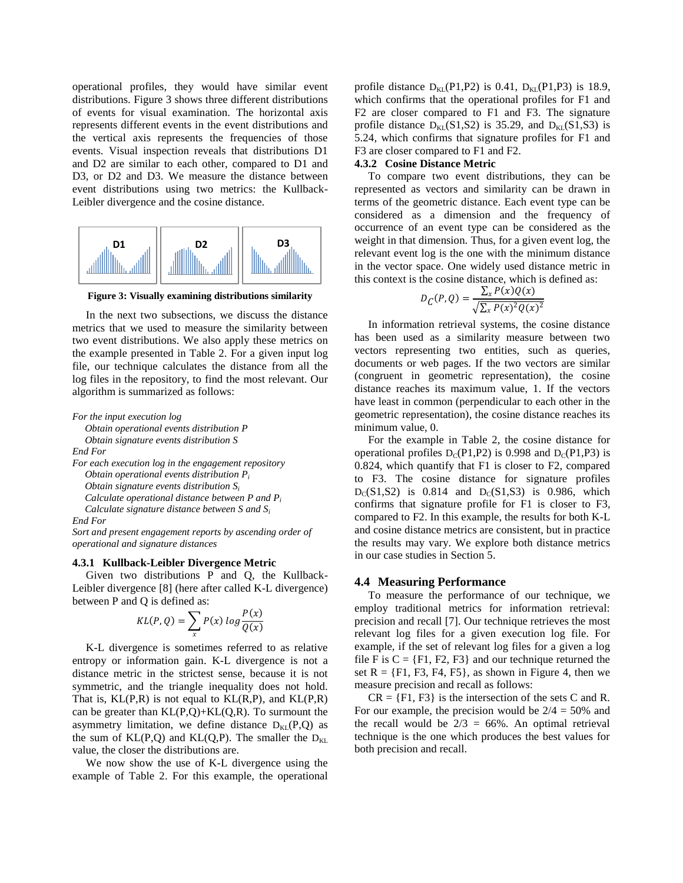operational profiles, they would have similar event distributions. Figure 3 shows three different distributions of events for visual examination. The horizontal axis represents different events in the event distributions and the vertical axis represents the frequencies of those events. Visual inspection reveals that distributions D1 and D2 are similar to each other, compared to D1 and D3, or D2 and D3. We measure the distance between event distributions using two metrics: the Kullback-Leibler divergence and the cosine distance.



**Figure 3: Visually examining distributions similarity**

In the next two subsections, we discuss the distance metrics that we used to measure the similarity between two event distributions. We also apply these metrics on the example presented in Table 2. For a given input log file, our technique calculates the distance from all the log files in the repository, to find the most relevant. Our algorithm is summarized as follows:

*For the input execution log*

 *Obtain operational events distribution P Obtain signature events distribution S End For For each execution log in the engagement repository Obtain operational events distribution P<sup>i</sup> Obtain signature events distribution S<sup>i</sup> Calculate operational distance between P and P<sup>i</sup> Calculate signature distance between S and S<sup>i</sup>*

*End For*

*Sort and present engagement reports by ascending order of operational and signature distances*

## **4.3.1 Kullback-Leibler Divergence Metric**

Given two distributions P and Q, the Kullback-Leibler divergence [8] (here after called K-L divergence) between P and Q is defined as:

$$
KL(P,Q) = \sum_{x} P(x) \log \frac{P(x)}{Q(x)}
$$

K-L divergence is sometimes referred to as relative entropy or information gain. K-L divergence is not a distance metric in the strictest sense, because it is not symmetric, and the triangle inequality does not hold. That is,  $KL(P,R)$  is not equal to  $KL(R,P)$ , and  $KL(P,R)$ can be greater than  $KL(P,Q) + KL(Q,R)$ . To surmount the asymmetry limitation, we define distance  $D_{KL}(P,Q)$  as the sum of  $KL(P,Q)$  and  $KL(Q,P)$ . The smaller the  $D_{KL}$ value, the closer the distributions are.

We now show the use of K-L divergence using the example of Table 2. For this example, the operational profile distance  $D_{KL}(P1,P2)$  is 0.41,  $D_{KL}(P1,P3)$  is 18.9, which confirms that the operational profiles for F1 and F2 are closer compared to F1 and F3. The signature profile distance  $D_{KL}(S1,S2)$  is 35.29, and  $D_{KL}(S1,S3)$  is 5.24, which confirms that signature profiles for F1 and F3 are closer compared to F1 and F2.

#### **4.3.2 Cosine Distance Metric**

To compare two event distributions, they can be represented as vectors and similarity can be drawn in terms of the geometric distance. Each event type can be considered as a dimension and the frequency of occurrence of an event type can be considered as the weight in that dimension. Thus, for a given event log, the relevant event log is the one with the minimum distance in the vector space. One widely used distance metric in this context is the cosine distance, which is defined as:

$$
D_C(P,Q) = \frac{\sum_x P(x)Q(x)}{\sqrt{\sum_x P(x)^2 Q(x)^2}}
$$

In information retrieval systems, the cosine distance has been used as a similarity measure between two vectors representing two entities, such as queries, documents or web pages. If the two vectors are similar (congruent in geometric representation), the cosine distance reaches its maximum value, 1. If the vectors have least in common (perpendicular to each other in the geometric representation), the cosine distance reaches its minimum value, 0.

For the example in Table 2, the cosine distance for operational profiles  $D_C(P1,P2)$  is 0.998 and  $D_C(P1,P3)$  is 0.824, which quantify that F1 is closer to F2, compared to F3. The cosine distance for signature profiles  $D_C(S1,S2)$  is 0.814 and  $D_C(S1,S3)$  is 0.986, which confirms that signature profile for F1 is closer to F3, compared to F2. In this example, the results for both K-L and cosine distance metrics are consistent, but in practice the results may vary. We explore both distance metrics in our case studies in Section 5.

#### **4.4 Measuring Performance**

To measure the performance of our technique, we employ traditional metrics for information retrieval: precision and recall [7]. Our technique retrieves the most relevant log files for a given execution log file. For example, if the set of relevant log files for a given a log file F is  $C = \{F1, F2, F3\}$  and our technique returned the set  $R = \{F1, F3, F4, F5\}$ , as shown in Figure 4, then we measure precision and recall as follows:

 $CR = \{F1, F3\}$  is the intersection of the sets C and R. For our example, the precision would be  $2/4 = 50\%$  and the recall would be  $2/3 = 66\%$ . An optimal retrieval technique is the one which produces the best values for both precision and recall.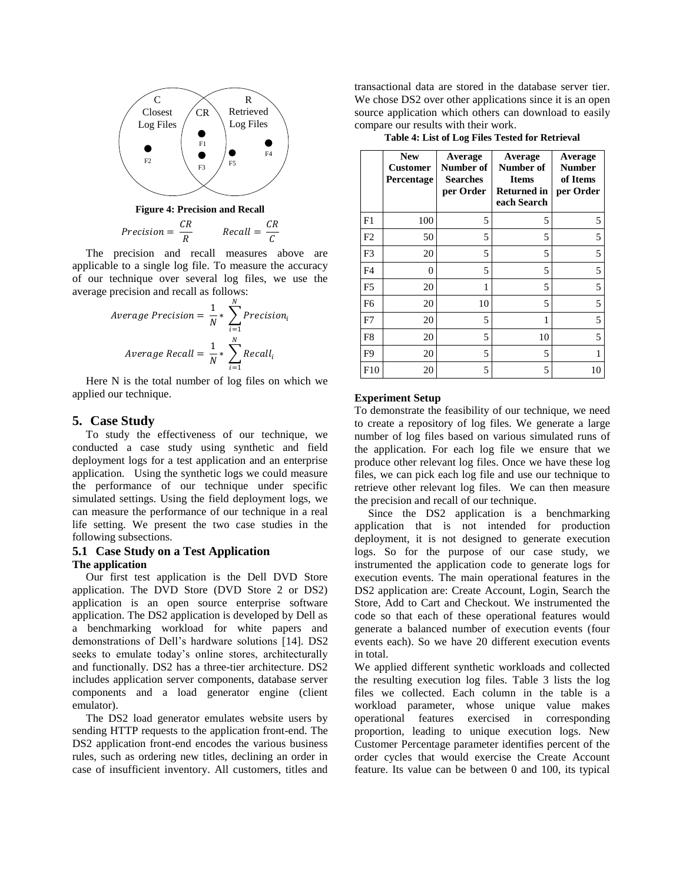

$$
Precision = \frac{CR}{R} \qquad Recall = \frac{CR}{C}
$$

The precision and recall measures above are applicable to a single log file. To measure the accuracy of our technique over several log files, we use the average precision and recall as follows:

$$
Average Precision = \frac{1}{N} * \sum_{i=1}^{N} Precision_i
$$
  

$$
Average Recall = \frac{1}{N} * \sum_{i=1}^{N} Recall_i
$$

Here N is the total number of log files on which we applied our technique.

## **5. Case Study**

To study the effectiveness of our technique, we conducted a case study using synthetic and field deployment logs for a test application and an enterprise application. Using the synthetic logs we could measure the performance of our technique under specific simulated settings. Using the field deployment logs, we can measure the performance of our technique in a real life setting. We present the two case studies in the following subsections.

# **5.1 Case Study on a Test Application The application**

Our first test application is the Dell DVD Store application. The DVD Store (DVD Store 2 or DS2) application is an open source enterprise software application. The DS2 application is developed by Dell as a benchmarking workload for white papers and demonstrations of Dell's hardware solutions [14]. DS2 seeks to emulate today's online stores, architecturally and functionally. DS2 has a three-tier architecture. DS2 includes application server components, database server components and a load generator engine (client emulator).

The DS2 load generator emulates website users by sending HTTP requests to the application front-end. The DS2 application front-end encodes the various business rules, such as ordering new titles, declining an order in case of insufficient inventory. All customers, titles and

transactional data are stored in the database server tier. We chose DS2 over other applications since it is an open source application which others can download to easily compare our results with their work.

**Table 4: List of Log Files Tested for Retrieval**

|                | <b>New</b><br><b>Customer</b><br>Percentage | Average<br>Number of<br><b>Searches</b><br>per Order | Average<br>Number of<br><b>Items</b><br><b>Returned in</b><br>each Search | Average<br><b>Number</b><br>of Items<br>per Order |
|----------------|---------------------------------------------|------------------------------------------------------|---------------------------------------------------------------------------|---------------------------------------------------|
| F1             | 100                                         | 5                                                    | 5                                                                         | 5                                                 |
| F <sub>2</sub> | 50                                          | 5                                                    | 5                                                                         | 5                                                 |
| F <sub>3</sub> | 20                                          | 5                                                    | 5                                                                         | 5                                                 |
| F4             | 0                                           | 5                                                    | 5                                                                         | 5                                                 |
| F <sub>5</sub> | 20                                          | 1                                                    | 5                                                                         | 5                                                 |
| F <sub>6</sub> | 20                                          | 10                                                   | 5                                                                         | 5                                                 |
| F7             | 20                                          | 5                                                    | 1                                                                         | 5                                                 |
| F8             | 20                                          | 5                                                    | 10                                                                        | 5                                                 |
| F <sub>9</sub> | 20                                          | 5                                                    | 5                                                                         | 1                                                 |
| F10            | 20                                          | 5                                                    | 5                                                                         | 10                                                |

### **Experiment Setup**

To demonstrate the feasibility of our technique, we need to create a repository of log files. We generate a large number of log files based on various simulated runs of the application. For each log file we ensure that we produce other relevant log files. Once we have these log files, we can pick each log file and use our technique to retrieve other relevant log files. We can then measure the precision and recall of our technique.

Since the DS2 application is a benchmarking application that is not intended for production deployment, it is not designed to generate execution logs. So for the purpose of our case study, we instrumented the application code to generate logs for execution events. The main operational features in the DS2 application are: Create Account, Login, Search the Store, Add to Cart and Checkout. We instrumented the code so that each of these operational features would generate a balanced number of execution events (four events each). So we have 20 different execution events in total.

We applied different synthetic workloads and collected the resulting execution log files. Table 3 lists the log files we collected. Each column in the table is a workload parameter, whose unique value makes operational features exercised in corresponding proportion, leading to unique execution logs. New Customer Percentage parameter identifies percent of the order cycles that would exercise the Create Account feature. Its value can be between 0 and 100, its typical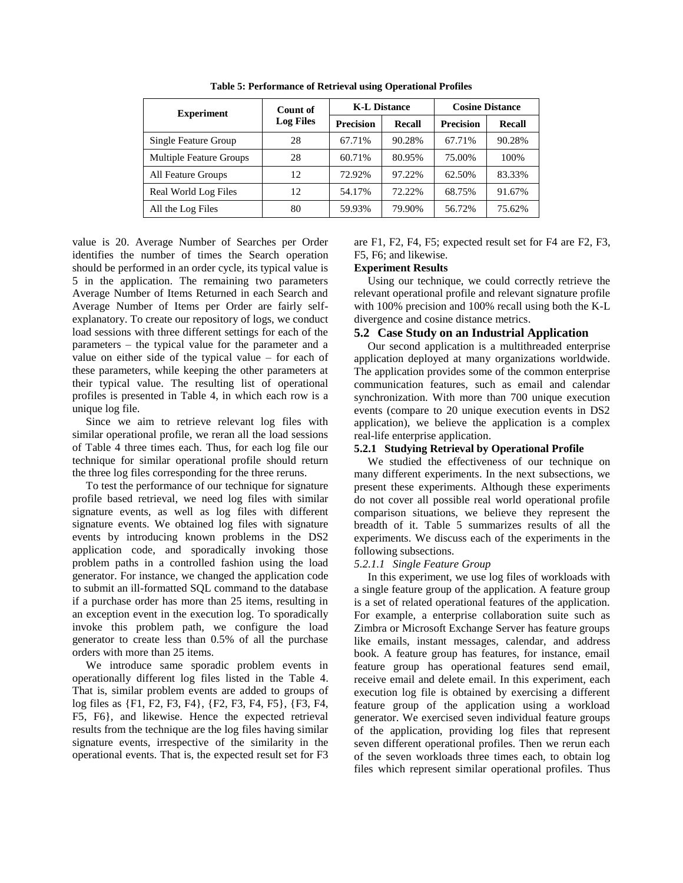| <b>Experiment</b>              | Count of         | <b>K-L Distance</b> |               | <b>Cosine Distance</b> |               |  |
|--------------------------------|------------------|---------------------|---------------|------------------------|---------------|--|
|                                | <b>Log Files</b> | <b>Precision</b>    | <b>Recall</b> | <b>Precision</b>       | <b>Recall</b> |  |
| Single Feature Group           | 28               | 67.71%              | 90.28%        | 67.71%                 | 90.28%        |  |
| <b>Multiple Feature Groups</b> | 28               | 60.71%              | 80.95%        | 75.00%                 | 100%          |  |
| All Feature Groups             | 12               | 72.92%              | 97.22%        | 62.50%                 | 83.33%        |  |
| Real World Log Files           | 12               | 54.17%              | 72.22%        | 68.75%                 | 91.67%        |  |
| All the Log Files              | 80               | 59.93%              | 79.90%        | 56.72%                 | 75.62%        |  |

**Table 5: Performance of Retrieval using Operational Profiles**

value is 20. Average Number of Searches per Order identifies the number of times the Search operation should be performed in an order cycle, its typical value is 5 in the application. The remaining two parameters Average Number of Items Returned in each Search and Average Number of Items per Order are fairly selfexplanatory. To create our repository of logs, we conduct load sessions with three different settings for each of the parameters – the typical value for the parameter and a value on either side of the typical value – for each of these parameters, while keeping the other parameters at their typical value. The resulting list of operational profiles is presented in Table 4, in which each row is a unique log file.

Since we aim to retrieve relevant log files with similar operational profile, we reran all the load sessions of Table 4 three times each. Thus, for each log file our technique for similar operational profile should return the three log files corresponding for the three reruns.

To test the performance of our technique for signature profile based retrieval, we need log files with similar signature events, as well as log files with different signature events. We obtained log files with signature events by introducing known problems in the DS2 application code, and sporadically invoking those problem paths in a controlled fashion using the load generator. For instance, we changed the application code to submit an ill-formatted SQL command to the database if a purchase order has more than 25 items, resulting in an exception event in the execution log. To sporadically invoke this problem path, we configure the load generator to create less than 0.5% of all the purchase orders with more than 25 items.

We introduce same sporadic problem events in operationally different log files listed in the Table 4. That is, similar problem events are added to groups of log files as {F1, F2, F3, F4}, {F2, F3, F4, F5}, {F3, F4, F5, F6}, and likewise. Hence the expected retrieval results from the technique are the log files having similar signature events, irrespective of the similarity in the operational events. That is, the expected result set for F3

are F1, F2, F4, F5; expected result set for F4 are F2, F3, F5, F6; and likewise.

# **Experiment Results**

Using our technique, we could correctly retrieve the relevant operational profile and relevant signature profile with 100% precision and 100% recall using both the K-L divergence and cosine distance metrics.

# **5.2 Case Study on an Industrial Application**

Our second application is a multithreaded enterprise application deployed at many organizations worldwide. The application provides some of the common enterprise communication features, such as email and calendar synchronization. With more than 700 unique execution events (compare to 20 unique execution events in DS2 application), we believe the application is a complex real-life enterprise application.

# **5.2.1 Studying Retrieval by Operational Profile**

We studied the effectiveness of our technique on many different experiments. In the next subsections, we present these experiments. Although these experiments do not cover all possible real world operational profile comparison situations, we believe they represent the breadth of it. Table 5 summarizes results of all the experiments. We discuss each of the experiments in the following subsections.

# *5.2.1.1 Single Feature Group*

In this experiment, we use log files of workloads with a single feature group of the application. A feature group is a set of related operational features of the application. For example, a enterprise collaboration suite such as Zimbra or Microsoft Exchange Server has feature groups like emails, instant messages, calendar, and address book. A feature group has features, for instance, email feature group has operational features send email, receive email and delete email. In this experiment, each execution log file is obtained by exercising a different feature group of the application using a workload generator. We exercised seven individual feature groups of the application, providing log files that represent seven different operational profiles. Then we rerun each of the seven workloads three times each, to obtain log files which represent similar operational profiles. Thus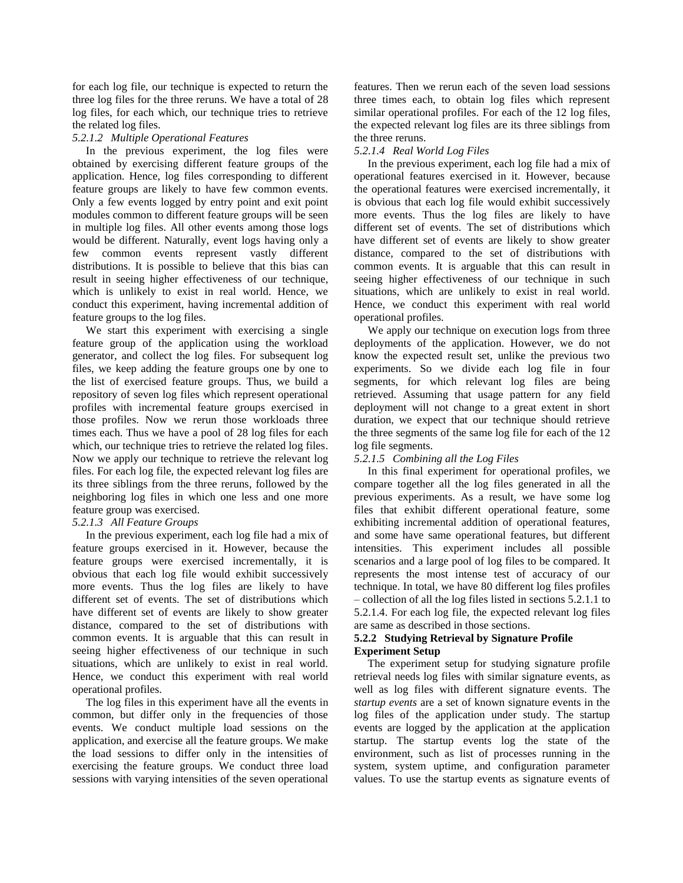for each log file, our technique is expected to return the three log files for the three reruns. We have a total of 28 log files, for each which, our technique tries to retrieve the related log files.

### *5.2.1.2 Multiple Operational Features*

In the previous experiment, the log files were obtained by exercising different feature groups of the application. Hence, log files corresponding to different feature groups are likely to have few common events. Only a few events logged by entry point and exit point modules common to different feature groups will be seen in multiple log files. All other events among those logs would be different. Naturally, event logs having only a few common events represent vastly different distributions. It is possible to believe that this bias can result in seeing higher effectiveness of our technique, which is unlikely to exist in real world. Hence, we conduct this experiment, having incremental addition of feature groups to the log files.

We start this experiment with exercising a single feature group of the application using the workload generator, and collect the log files. For subsequent log files, we keep adding the feature groups one by one to the list of exercised feature groups. Thus, we build a repository of seven log files which represent operational profiles with incremental feature groups exercised in those profiles. Now we rerun those workloads three times each. Thus we have a pool of 28 log files for each which, our technique tries to retrieve the related log files. Now we apply our technique to retrieve the relevant log files. For each log file, the expected relevant log files are its three siblings from the three reruns, followed by the neighboring log files in which one less and one more feature group was exercised.

# *5.2.1.3 All Feature Groups*

In the previous experiment, each log file had a mix of feature groups exercised in it. However, because the feature groups were exercised incrementally, it is obvious that each log file would exhibit successively more events. Thus the log files are likely to have different set of events. The set of distributions which have different set of events are likely to show greater distance, compared to the set of distributions with common events. It is arguable that this can result in seeing higher effectiveness of our technique in such situations, which are unlikely to exist in real world. Hence, we conduct this experiment with real world operational profiles.

The log files in this experiment have all the events in common, but differ only in the frequencies of those events. We conduct multiple load sessions on the application, and exercise all the feature groups. We make the load sessions to differ only in the intensities of exercising the feature groups. We conduct three load sessions with varying intensities of the seven operational features. Then we rerun each of the seven load sessions three times each, to obtain log files which represent similar operational profiles. For each of the 12 log files, the expected relevant log files are its three siblings from the three reruns.

# *5.2.1.4 Real World Log Files*

In the previous experiment, each log file had a mix of operational features exercised in it. However, because the operational features were exercised incrementally, it is obvious that each log file would exhibit successively more events. Thus the log files are likely to have different set of events. The set of distributions which have different set of events are likely to show greater distance, compared to the set of distributions with common events. It is arguable that this can result in seeing higher effectiveness of our technique in such situations, which are unlikely to exist in real world. Hence, we conduct this experiment with real world operational profiles.

We apply our technique on execution logs from three deployments of the application. However, we do not know the expected result set, unlike the previous two experiments. So we divide each log file in four segments, for which relevant log files are being retrieved. Assuming that usage pattern for any field deployment will not change to a great extent in short duration, we expect that our technique should retrieve the three segments of the same log file for each of the 12 log file segments.

# *5.2.1.5 Combining all the Log Files*

In this final experiment for operational profiles, we compare together all the log files generated in all the previous experiments. As a result, we have some log files that exhibit different operational feature, some exhibiting incremental addition of operational features, and some have same operational features, but different intensities. This experiment includes all possible scenarios and a large pool of log files to be compared. It represents the most intense test of accuracy of our technique. In total, we have 80 different log files profiles – collection of all the log files listed in sections 5.2.1.1 to 5.2.1.4. For each log file, the expected relevant log files are same as described in those sections.

# **5.2.2 Studying Retrieval by Signature Profile Experiment Setup**

The experiment setup for studying signature profile retrieval needs log files with similar signature events, as well as log files with different signature events. The *startup events* are a set of known signature events in the log files of the application under study. The startup events are logged by the application at the application startup. The startup events log the state of the environment, such as list of processes running in the system, system uptime, and configuration parameter values. To use the startup events as signature events of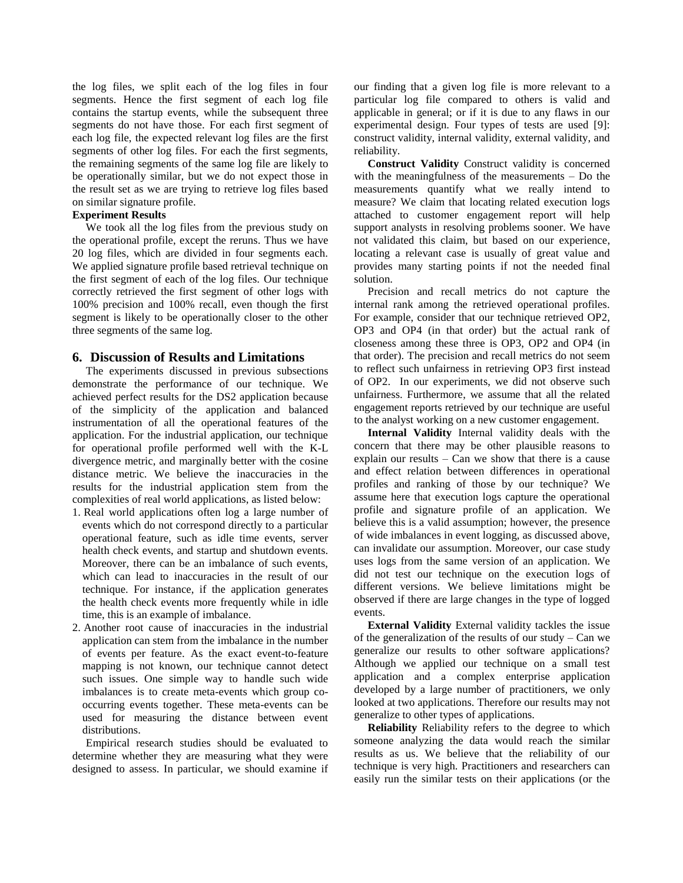the log files, we split each of the log files in four segments. Hence the first segment of each log file contains the startup events, while the subsequent three segments do not have those. For each first segment of each log file, the expected relevant log files are the first segments of other log files. For each the first segments, the remaining segments of the same log file are likely to be operationally similar, but we do not expect those in the result set as we are trying to retrieve log files based on similar signature profile.

# **Experiment Results**

We took all the log files from the previous study on the operational profile, except the reruns. Thus we have 20 log files, which are divided in four segments each. We applied signature profile based retrieval technique on the first segment of each of the log files. Our technique correctly retrieved the first segment of other logs with 100% precision and 100% recall, even though the first segment is likely to be operationally closer to the other three segments of the same log.

## **6. Discussion of Results and Limitations**

The experiments discussed in previous subsections demonstrate the performance of our technique. We achieved perfect results for the DS2 application because of the simplicity of the application and balanced instrumentation of all the operational features of the application. For the industrial application, our technique for operational profile performed well with the K-L divergence metric, and marginally better with the cosine distance metric. We believe the inaccuracies in the results for the industrial application stem from the complexities of real world applications, as listed below:

- 1. Real world applications often log a large number of events which do not correspond directly to a particular operational feature, such as idle time events, server health check events, and startup and shutdown events. Moreover, there can be an imbalance of such events, which can lead to inaccuracies in the result of our technique. For instance, if the application generates the health check events more frequently while in idle time, this is an example of imbalance.
- 2. Another root cause of inaccuracies in the industrial application can stem from the imbalance in the number of events per feature. As the exact event-to-feature mapping is not known, our technique cannot detect such issues. One simple way to handle such wide imbalances is to create meta-events which group cooccurring events together. These meta-events can be used for measuring the distance between event distributions.

Empirical research studies should be evaluated to determine whether they are measuring what they were designed to assess. In particular, we should examine if our finding that a given log file is more relevant to a particular log file compared to others is valid and applicable in general; or if it is due to any flaws in our experimental design. Four types of tests are used [9]: construct validity, internal validity, external validity, and reliability.

**Construct Validity** Construct validity is concerned with the meaningfulness of the measurements – Do the measurements quantify what we really intend to measure? We claim that locating related execution logs attached to customer engagement report will help support analysts in resolving problems sooner. We have not validated this claim, but based on our experience, locating a relevant case is usually of great value and provides many starting points if not the needed final solution.

Precision and recall metrics do not capture the internal rank among the retrieved operational profiles. For example, consider that our technique retrieved OP2, OP3 and OP4 (in that order) but the actual rank of closeness among these three is OP3, OP2 and OP4 (in that order). The precision and recall metrics do not seem to reflect such unfairness in retrieving OP3 first instead of OP2. In our experiments, we did not observe such unfairness. Furthermore, we assume that all the related engagement reports retrieved by our technique are useful to the analyst working on a new customer engagement.

**Internal Validity** Internal validity deals with the concern that there may be other plausible reasons to explain our results – Can we show that there is a cause and effect relation between differences in operational profiles and ranking of those by our technique? We assume here that execution logs capture the operational profile and signature profile of an application. We believe this is a valid assumption; however, the presence of wide imbalances in event logging, as discussed above, can invalidate our assumption. Moreover, our case study uses logs from the same version of an application. We did not test our technique on the execution logs of different versions. We believe limitations might be observed if there are large changes in the type of logged events.

**External Validity** External validity tackles the issue of the generalization of the results of our study – Can we generalize our results to other software applications? Although we applied our technique on a small test application and a complex enterprise application developed by a large number of practitioners, we only looked at two applications. Therefore our results may not generalize to other types of applications.

**Reliability** Reliability refers to the degree to which someone analyzing the data would reach the similar results as us. We believe that the reliability of our technique is very high. Practitioners and researchers can easily run the similar tests on their applications (or the